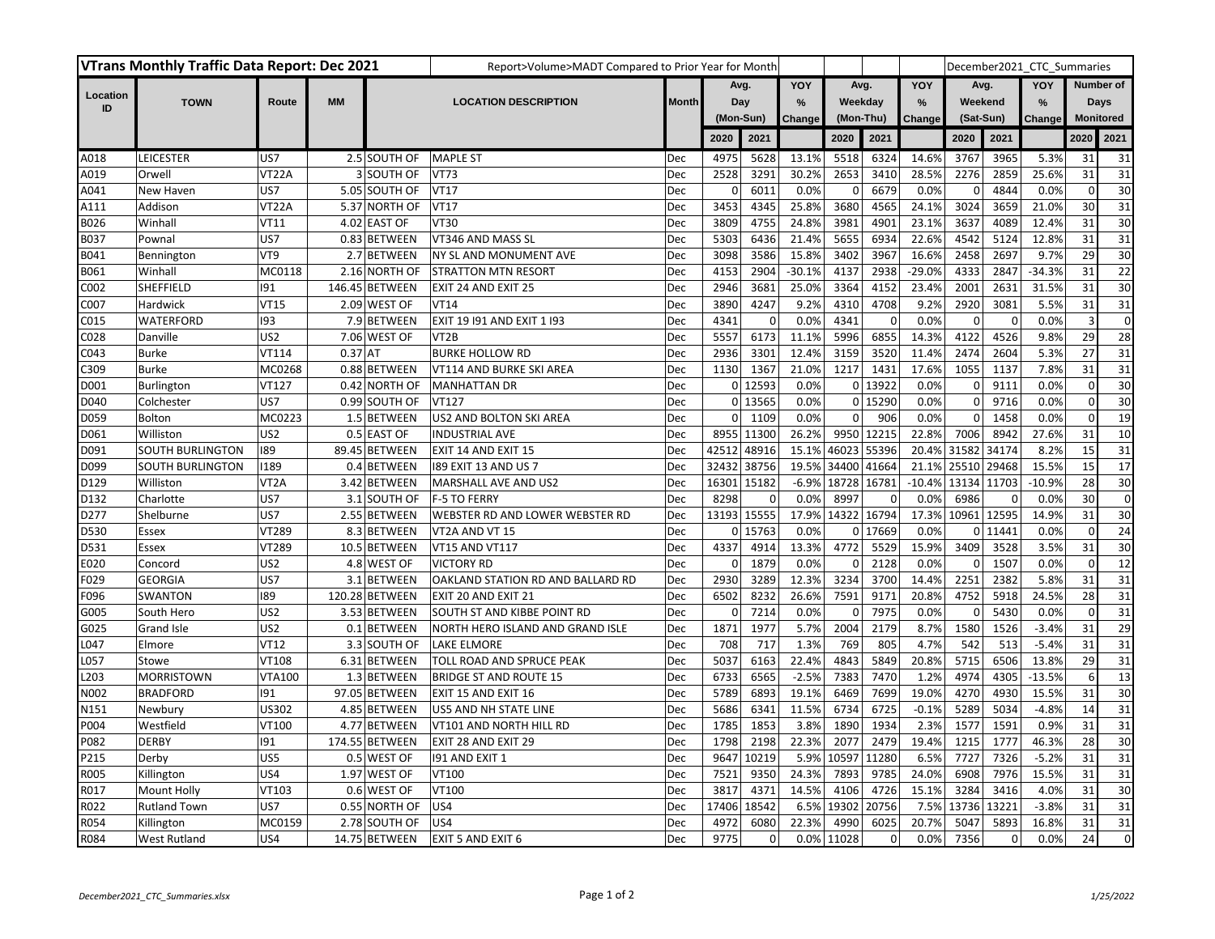| <b>VTrans Monthly Traffic Data Report: Dec 2021</b> |                         |                   |           |                | Report>Volume>MADT Compared to Prior Year for Month |              |                  |             |               |           |             |               |             |             | December2021 CTC Summaries |                         |                  |
|-----------------------------------------------------|-------------------------|-------------------|-----------|----------------|-----------------------------------------------------|--------------|------------------|-------------|---------------|-----------|-------------|---------------|-------------|-------------|----------------------------|-------------------------|------------------|
|                                                     |                         |                   |           |                |                                                     |              | Avg.             |             | YOY           | Avg.      |             | YOY           | Avg.        |             | YOY                        |                         | <b>Number of</b> |
| Location<br>ID                                      | <b>TOWN</b>             | Route             | <b>MM</b> |                | <b>LOCATION DESCRIPTION</b>                         | <b>Month</b> | Day<br>(Mon-Sun) |             | $\frac{9}{6}$ | Weekday   |             | $\frac{9}{6}$ | Weekend     |             | $\frac{9}{6}$              | <b>Days</b>             |                  |
|                                                     |                         |                   |           |                |                                                     |              |                  |             | Change        | (Mon-Thu) |             | Change        | (Sat-Sun)   |             | Change                     | <b>Monitored</b>        |                  |
|                                                     |                         |                   |           |                |                                                     |              | 2020             | 2021        |               | 2020      | 2021        |               | 2020        | 2021        |                            | 2020                    | 2021             |
| A018                                                | LEICESTER               | US7               |           | 2.5 SOUTH OF   | <b>MAPLE ST</b>                                     | Dec          | 4975             | 5628        | 13.1%         | 5518      | 6324        | 14.6%         | 3767        | 3965        | 5.3%                       | 31                      | 31               |
| A019                                                | Orwell                  | VT22A             |           | 3 SOUTH OF     | <b>VT73</b>                                         | Dec          | 2528             | 3291        | 30.2%         | 2653      | 3410        | 28.5%         | 2276        | 2859        | 25.6%                      | 31                      | 31               |
| A041                                                | New Haven               | US7               |           | 5.05 SOUTH OF  | <b>VT17</b>                                         | Dec          | 0                | 6011        | 0.0%          | 0         | 6679        | 0.0%          | 0           | 4844        | 0.0%                       | $\mathbf 0$             | 30               |
| A111                                                | Addison                 | VT22A             |           | 5.37 NORTH OF  | <b>VT17</b>                                         | Dec          | 3453             | 4345        | 25.8%         | 3680      | 4565        | 24.1%         | 3024        | 3659        | 21.0%                      | 30                      | 31               |
| B026                                                | Winhall                 | <b>VT11</b>       |           | 4.02 EAST OF   | <b>VT30</b>                                         | Dec          | 3809             | 4755        | 24.8%         | 3981      | 4901        | 23.1%         | 3637        | 4089        | 12.4%                      | 31                      | 30               |
| B037                                                | Pownal                  | US7               |           | 0.83 BETWEEN   | VT346 AND MASS SL                                   | Dec          | 5303             | 6436        | 21.4%         | 5655      | 6934        | 22.6%         | 4542        | 5124        | 12.8%                      | 31                      | 31               |
| B041                                                | Bennington              | VT9               |           | 2.7 BETWEEN    | NY SL AND MONUMENT AVE                              | Dec          | 3098             | 3586        | 15.8%         | 3402      | 3967        | 16.6%         | 2458        | 2697        | 9.7%                       | 29                      | 30               |
| B061                                                | Winhall                 | MC0118            |           | 2.16 NORTH OF  | <b>STRATTON MTN RESORT</b>                          | Dec          | 4153             | 2904        | $-30.1%$      | 4137      | 2938        | $-29.0%$      | 4333        | 2847        | $-34.3%$                   | 31                      | 22               |
| C002                                                | SHEFFIELD               | 191               |           | 146.45 BETWEEN | EXIT 24 AND EXIT 25                                 | Dec          | 2946             | 3681        | 25.0%         | 3364      | 4152        | 23.4%         | 2001        | 2631        | 31.5%                      | 31                      | $\overline{30}$  |
| C007                                                | Hardwick                | <b>VT15</b>       |           | 2.09 WEST OF   | <b>VT14</b>                                         | Dec          | 3890             | 4247        | 9.2%          | 4310      | 4708        | 9.2%          | 2920        | 3081        | 5.5%                       | 31                      | 31               |
| C015                                                | WATERFORD               | 193               |           | 7.9 BETWEEN    | EXIT 19 191 AND EXIT 1 193                          | Dec          | 4341             | $\pmb{0}$   | 0.0%          | 4341      | $\mathbf 0$ | 0.0%          | $\mathbf 0$ | $\mathbf 0$ | 0.0%                       | $\overline{\mathbf{3}}$ | $\pmb{0}$        |
| C028                                                | Danville                | US <sub>2</sub>   |           | 7.06 WEST OF   | VT <sub>2</sub> B                                   | Dec          | 5557             | 6173        | 11.1%         | 5996      | 6855        | 14.3%         | 4122        | 4526        | 9.8%                       | 29                      | 28               |
| C043                                                | Burke                   | VT114             | $0.37$ AT |                | <b>BURKE HOLLOW RD</b>                              | Dec          | 2936             | 3301        | 12.4%         | 3159      | 3520        | 11.4%         | 2474        | 2604        | 5.3%                       | 27                      | 31               |
| C309                                                | <b>Burke</b>            | MC0268            |           | 0.88 BETWEEN   | VT114 AND BURKE SKI AREA                            | Dec          | 1130             | 1367        | 21.0%         | 1217      | 1431        | 17.6%         | 1055        | 1137        | 7.8%                       | 31                      | 31               |
| D001                                                | Burlington              | VT127             |           | 0.42 NORTH OF  | <b>MANHATTAN DR</b>                                 | Dec          |                  | 0 12593     | 0.0%          |           | 0 13922     | 0.0%          | $\mathbf 0$ | 9111        | 0.0%                       | $\mathbf 0$             | 30               |
| D040                                                | Colchester              | US7               |           | 0.99 SOUTH OF  | VT127                                               | <b>Dec</b>   |                  | 0 13565     | 0.0%          |           | 0 15290     | 0.0%          | $\mathbf 0$ | 9716        | 0.0%                       | $\mathbf 0$             | 30               |
| D059                                                | <b>Bolton</b>           | MC0223            |           | 1.5 BETWEEN    | US2 AND BOLTON SKI AREA                             | Dec          | $\overline{0}$   | 1109        | 0.0%          | 0         | 906         | 0.0%          | $\mathbf 0$ | 1458        | 0.0%                       | $\mathbf 0$             | 19               |
| D061                                                | Williston               | US <sub>2</sub>   |           | 0.5 EAST OF    | <b>INDUSTRIAL AVE</b>                               | Dec          | 8955             | 11300       | 26.2%         | 9950      | 12215       | 22.8%         | 7006        | 8942        | 27.6%                      | 31                      | 10               |
| D091                                                | <b>SOUTH BURLINGTON</b> | 189               |           | 89.45 BETWEEN  | EXIT 14 AND EXIT 15                                 | Dec          | 42512            | 48916       | 15.1%         | 46023     | 55396       | 20.4%         | 31582       | 34174       | 8.2%                       | 15                      | 31               |
| D099                                                | <b>SOUTH BURLINGTON</b> | 1189              |           | 0.4 BETWEEN    | 189 EXIT 13 AND US 7                                | Dec          | 32432            | 38756       | 19.5%         | 34400     | 41664       | 21.1%         | 25510       | 29468       | 15.5%                      | 15                      | $\overline{17}$  |
| D129                                                | Williston               | VT <sub>2</sub> A |           | 3.42 BETWEEN   | MARSHALL AVE AND US2                                | Dec          |                  | 16301 15182 | $-6.9%$       | 18728     | 16781       | $-10.4%$      | 13134 11703 |             | $-10.9%$                   | 28                      | 30               |
| D132                                                | Charlotte               | US7               |           | 3.1 SOUTH OF   | F-5 TO FERRY                                        | Dec          | 8298             | $\mathbf 0$ | 0.0%          | 8997      | $\Omega$    | 0.0%          | 6986        | $\Omega$    | 0.0%                       | 30                      | $\pmb{0}$        |
| D277                                                | Shelburne               | US7               |           | 2.55 BETWEEN   | WEBSTER RD AND LOWER WEBSTER RD                     | Dec          | 13193            | 15555       | 17.9%         | 14322     | 16794       | 17.3%         | 10961       | 12595       | 14.9%                      | 31                      | 30               |
| D530                                                | Essex                   | VT289             |           | 8.3 BETWEEN    | VT2A AND VT 15                                      | Dec          | $\overline{0}$   | 15763       | 0.0%          | 0         | 17669       | 0.0%          |             | 0 11441     | 0.0%                       | $\mathbf 0$             | 24               |
| D531                                                | Essex                   | VT289             |           | 10.5 BETWEEN   | VT15 AND VT117                                      | Dec          | 4337             | 4914        | 13.3%         | 4772      | 5529        | 15.9%         | 3409        | 3528        | 3.5%                       | 31                      | 30               |
| E020                                                | Concord                 | US <sub>2</sub>   |           | 4.8 WEST OF    | <b>VICTORY RD</b>                                   | Dec          | 0                | 1879        | 0.0%          | 0         | 2128        | 0.0%          | 0           | 1507        | 0.0%                       | $\mathbf 0$             | $\overline{12}$  |
| F029                                                | <b>GEORGIA</b>          | US7               |           | 3.1 BETWEEN    | OAKLAND STATION RD AND BALLARD RD                   | Dec          | 2930             | 3289        | 12.3%         | 3234      | 3700        | 14.4%         | 2251        | 2382        | 5.8%                       | 31                      | $\overline{31}$  |
| F096                                                | SWANTON                 | 189               |           | 120.28 BETWEEN | EXIT 20 AND EXIT 21                                 | Dec          | 6502             | 8232        | 26.6%         | 7591      | 9171        | 20.8%         | 4752        | 5918        | 24.5%                      | 28                      | $\overline{31}$  |
| G005                                                | South Hero              | US <sub>2</sub>   |           | 3.53 BETWEEN   | SOUTH ST AND KIBBE POINT RD                         | Dec          | $\mathbf{0}$     | 7214        | 0.0%          | 0         | 7975        | 0.0%          | $\mathbf 0$ | 5430        | 0.0%                       | $\mathbf 0$             | 31               |
| G025                                                | Grand Isle              | US <sub>2</sub>   |           | 0.1 BETWEEN    | NORTH HERO ISLAND AND GRAND ISLE                    | Dec          | 1871             | 1977        | 5.7%          | 2004      | 2179        | 8.7%          | 1580        | 1526        | $-3.4%$                    | 31                      | 29               |
| L047                                                | Elmore                  | <b>VT12</b>       |           | 3.3 SOUTH OF   | LAKE ELMORE                                         | Dec          | 708              | 717         | 1.3%          | 769       | 805         | 4.7%          | 542         | 513         | $-5.4%$                    | 31                      | 31               |
| L057                                                | Stowe                   | VT108             |           | 6.31 BETWEEN   | TOLL ROAD AND SPRUCE PEAK                           | Dec          | 5037             | 6163        | 22.4%         | 4843      | 5849        | 20.8%         | 5715        | 6506        | 13.8%                      | 29                      | 31               |
| L203                                                | <b>MORRISTOWN</b>       | <b>VTA100</b>     |           | 1.3 BETWEEN    | <b>BRIDGE ST AND ROUTE 15</b>                       | Dec          | 6733             | 6565        | $-2.5%$       | 7383      | 7470        | 1.2%          | 4974        | 4305        | $-13.5%$                   | 6                       | 13               |
| N002                                                | <b>BRADFORD</b>         | 191               |           | 97.05 BETWEEN  | EXIT 15 AND EXIT 16                                 | Dec          | 5789             | 6893        | 19.1%         | 6469      | 7699        | 19.0%         | 4270        | 4930        | 15.5%                      | 31                      | 30               |
| N151                                                | Newbury                 | US302             |           | 4.85 BETWEEN   | US5 AND NH STATE LINE                               | Dec          | 5686             | 6341        | 11.5%         | 6734      | 6725        | $-0.1%$       | 5289        | 5034        | $-4.8%$                    | 14                      | 31               |
| P004                                                | Westfield               | VT100             |           | 4.77 BETWEEN   | VT101 AND NORTH HILL RD                             | Dec          | 1785             | 1853        | 3.8%          | 1890      | 1934        | 2.3%          | 1577        | 1591        | 0.9%                       | 31                      | 31               |
| P082                                                | <b>DERBY</b>            | 191               |           | 174.55 BETWEEN | EXIT 28 AND EXIT 29                                 | Dec          | 1798             | 2198        | 22.3%         | 2077      | 2479        | 19.4%         | 1215        | 1777        | 46.3%                      | 28                      | 30               |
| P215                                                | Derby                   | US5               |           | 0.5 WEST OF    | 191 AND EXIT 1                                      | Dec          | 9647             | 10219       | 5.9%          | 10597     | 11280       | 6.5%          | 7727        | 7326        | $-5.2%$                    | 31                      | 31               |
| R005                                                | Killington              | US4               |           | 1.97 WEST OF   | VT100                                               | Dec          | 7521             | 9350        | 24.3%         | 7893      | 9785        | 24.0%         | 6908        | 7976        | 15.5%                      | 31                      | 31               |
| R017                                                | <b>Mount Holly</b>      | VT103             |           | 0.6 WEST OF    | VT100                                               | Dec          | 3817             | 4371        | 14.5%         | 4106      | 4726        | 15.1%         | 3284        | 3416        | 4.0%                       | 31                      | 30               |
| R022                                                | <b>Rutland Town</b>     | US7               |           | 0.55 NORTH OF  | US4                                                 | Dec          | 17406            | 18542       | 6.5%          | 19302     | 20756       | 7.5%          | 13736       | 13221       | $-3.8%$                    | 31                      | 31               |
| R054                                                | Killington              | MC0159            |           | 2.78 SOUTH OF  | US4                                                 | Dec          | 4972             | 6080        | 22.3%         | 4990      | 6025        | 20.7%         | 5047        | 5893        | 16.8%                      | 31                      | 31               |
| R084                                                | <b>West Rutland</b>     | US4               |           | 14.75 BETWEEN  | <b>EXIT 5 AND EXIT 6</b>                            | Dec          | 9775             | $\mathbf 0$ | 0.0%          | 11028     | $\Omega$    | 0.0%          | 7356        | $\mathbf 0$ | 0.0%                       | 24                      | $\mathbf 0$      |